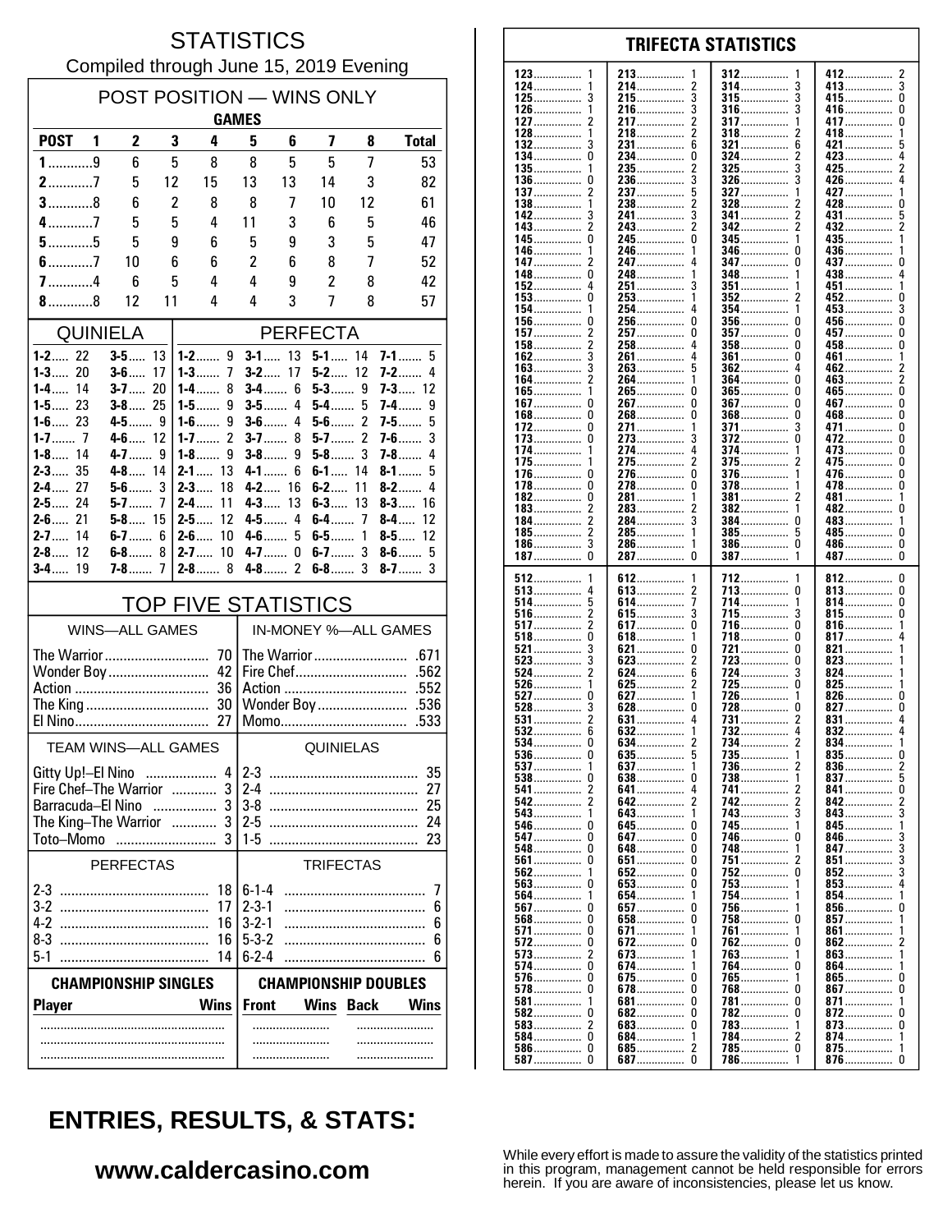#### **STATISTICS** Compiled through June 15, 2019 Evening

| POST POSITION - WINS ONLY<br><b>GAMES</b>               |                                                    |                       |          |                                |                                                           |                 |                     |                          |                            |  |
|---------------------------------------------------------|----------------------------------------------------|-----------------------|----------|--------------------------------|-----------------------------------------------------------|-----------------|---------------------|--------------------------|----------------------------|--|
| <b>POST</b>                                             | $\mathbf 1$                                        | 2                     | 3        | 4                              | 5                                                         | 6               | 7                   | 8                        | <b>Total</b>               |  |
| $1$ 9                                                   |                                                    | 6                     | 5        | 8                              | 8                                                         | 5               | 5                   | 7                        | 53                         |  |
| $2$ 7                                                   |                                                    | 5                     | 12       | 15                             | 13                                                        | 13              | 14                  | 3                        | 82                         |  |
| $3$ 8                                                   |                                                    | 6                     | 2        | 8                              | 8                                                         | 7               | 10                  | 12                       | 61                         |  |
| $4$ 7<br>$5$ 5                                          |                                                    | 5                     | 5        | 4                              | 11                                                        | 3               | 6                   | 5                        | 46                         |  |
| $6$ 7                                                   |                                                    | 5<br>10               | 9<br>6   | 6<br>6                         | 5<br>$\overline{c}$                                       | 9<br>6          | 3<br>8              | 5<br>7                   | 47<br>52                   |  |
| $7$ 4                                                   |                                                    | 6                     | 5        | 4                              | 4                                                         | 9               | $\overline{c}$      | 8                        | 42                         |  |
| $8$ 8                                                   |                                                    | 12                    | 11       | 4                              | 4                                                         | 3               | 7                   | 8                        | 57                         |  |
| <b>QUINIELA</b>                                         |                                                    |                       |          |                                |                                                           |                 | <b>PERFECTA</b>     |                          |                            |  |
| $1 - 2$ 22                                              |                                                    | $3-5$                 | 13       | $1 - 2$ 9                      | $3-1$                                                     | 13              | $5 - 1$ 14          |                          | $7-1$<br>5                 |  |
| $1 - 3$ 20<br>$1-4$<br>14                               |                                                    | $3 - 6$<br>$3-7$      | 17<br>20 | $1 - 3$<br>7<br>8<br>$1 - 4$   | $3-2$                                                     | 17<br>$3 - 4$ 6 | $5 - 2$ 12<br>$5-3$ | 9                        | $7-2$<br>4<br>$7 - 3$ 12   |  |
| $1 - 5$ 23                                              |                                                    | $3 - 8$ 25            |          | 9<br>$1 - 5$                   | $3-5$                                                     | 4               | $5-4$               | 5                        | 7-4<br>9                   |  |
| $1 - 6$ 23                                              |                                                    | $4-5$                 | 9        | 9<br>$1 - 6$                   | $3-6$                                                     | 4               | $5-6$               | $\overline{\phantom{a}}$ | 5<br>7-5……                 |  |
| $1-8$<br>14                                             |                                                    | $4-6$ 12<br>$4 - 7$   | 9        | 2<br>1-7 $\dots$<br>9<br>$1-8$ | $3-7$<br>$3-8$                                            | 8<br>9          | $5-7$<br>$5-8$      | $\overline{2}$<br>3      | $7-6$<br>3<br>$7 - 8$<br>4 |  |
| $2 - 3$<br>35                                           |                                                    | $4 - 8$ 14            |          | $2 - 1$<br>13                  | $4-1$                                                     | 6               | $6 - 1$             | 14                       | $8-1$<br>5                 |  |
| $2 - 4$<br>27                                           |                                                    | $5-6$                 | 3        | $2 - 3$<br>18                  | $4-2$                                                     | 16              | $6 - 2$             | 11                       | $8 - 2$                    |  |
| $2 - 5$ 24<br>$2 - 6$ 21                                |                                                    | $5 - 8$ 15            | 7        | $2 - 4$<br>11<br>$2 - 5$<br>12 | $4 - 3$<br>4-5……                                          | 13<br>4         | $6 - 3$<br>$6-4$ 7  | 13                       | $8-3$<br>16<br>$8-4$<br>12 |  |
| $2 - 7$<br>14                                           |                                                    | 6-7……                 | 6        | $2 - 6$<br>10                  | $4-6$                                                     | 5               | $6-5$               | 1                        | $8-5$<br>12                |  |
| $2-8$<br>12                                             |                                                    | $6-8$                 | 8        | 10<br>$2 - 7$                  | $4 - 7$                                                   | 0               | $6-7$               | 3                        | $8-6$<br>5                 |  |
| 19<br>$3-4$                                             |                                                    |                       |          | $2 - 8$ 8                      | 4-8                                                       | $\mathfrak{p}$  | $6-8$ 3             |                          | $8 - 7$<br>3               |  |
|                                                         | <b>TOP FIVE STATISTICS</b><br>IN-MONEY %-ALL GAMES |                       |          |                                |                                                           |                 |                     |                          |                            |  |
|                                                         |                                                    | <b>WINS-ALL GAMES</b> |          |                                |                                                           |                 |                     |                          |                            |  |
| The Warrior<br>Wonder Boy                               |                                                    |                       |          | 70<br>42                       |                                                           |                 |                     |                          |                            |  |
|                                                         |                                                    |                       |          | 36                             |                                                           |                 |                     |                          |                            |  |
| The King<br>30                                          |                                                    |                       |          |                                |                                                           |                 | Wonder Boy          |                          | .536                       |  |
|                                                         |                                                    |                       |          |                                |                                                           |                 | Momo                |                          | .533                       |  |
|                                                         |                                                    |                       |          | <b>TEAM WINS-ALL GAMES</b>     | QUINIELAS                                                 |                 |                     |                          |                            |  |
| Gitty Up!-El Nino                                       |                                                    |                       |          | 4 I                            | $2 - 3$                                                   |                 |                     |                          | 35                         |  |
| Fire Chef-The Warrior  3<br>Barracuda-El Nino<br>3<br>. |                                                    |                       |          | 27<br>25                       |                                                           |                 |                     |                          |                            |  |
| The King-The Warrior                                    |                                                    |                       |          |                                | $2-5$                                                     |                 |                     |                          |                            |  |
| Toto-Momo                                               |                                                    | $\sim$                |          | .                              | $1 - 5$                                                   |                 |                     |                          | 23                         |  |
| <b>PERFECTAS</b>                                        |                                                    |                       |          |                                | <b>TRIFECTAS</b>                                          |                 |                     |                          |                            |  |
|                                                         |                                                    |                       |          | 18<br>17                       | $6 - 1 - 4$<br>$2 - 3 - 1$                                |                 |                     |                          | 7<br>6                     |  |
|                                                         |                                                    |                       |          | 16                             | $3 - 2 - 1$                                               |                 |                     |                          | 6                          |  |
|                                                         |                                                    |                       |          | 16                             | $5 - 3 - 2$                                               |                 |                     |                          | 6                          |  |
|                                                         |                                                    |                       |          | 14                             | $6 - 2 - 4$                                               |                 |                     |                          | 6                          |  |
|                                                         |                                                    |                       |          | <b>CHAMPIONSHIP SINGLES</b>    | <b>CHAMPIONSHIP DOUBLES</b>                               |                 |                     |                          |                            |  |
| <b>Player</b>                                           |                                                    |                       |          | <b>Wins</b>                    | <b>Front</b><br><b>Wins</b><br><b>Back</b><br><b>Wins</b> |                 |                     |                          |                            |  |
|                                                         |                                                    |                       |          |                                |                                                           |                 |                     |                          |                            |  |
|                                                         |                                                    |                       |          |                                |                                                           |                 |                     |                          |                            |  |

| $123$        | 213……………      | 312             | 412        |
|--------------|---------------|-----------------|------------|
| 1            | 1             | 1               | z          |
| 124          | 2             | 314             | 413        |
|              | 214           | 3               | 3          |
| 125……………     | 215……………      | 315<br>3        | 415<br>0   |
|              | 3             | 3               | 416        |
| 126……………     | 216……………      | 316……………        | U          |
| 127……………     | 2             | 317             | 417        |
|              | 217           | 1               | 0          |
| 128          | 218           | 318             | 418        |
|              | 2             | 2               | 1          |
| $132$        | 231           | 321             | 421        |
|              | 6             | 6               | 5          |
| 134          | 234           | 324             | 423        |
| 0            | 0             | 2               | 4          |
|              |               |                 |            |
| 135……………     | 2             | 3               | 2          |
|              | 235……………      | $325$           | 425……………   |
| 136          | 236           | $326$           | 426        |
| 0            | 3             | 3               | 4          |
| 137          | 237           | 327             | 427        |
| 2            | 5             | 1               | 1          |
| $138$        | 238           | $328$           | 428<br>U   |
|              | 3             |                 |            |
| 142          | 241           | 341<br>2        | 431<br>5   |
| 143          | 243           | 2               | 432        |
|              | 2             | 342             | 2          |
| 145……………     | 245           | 345……………        | 435        |
| 0            | 0             | 1               | 1          |
| 146……………     | 246           | 346<br>0        | 436        |
| 147<br>2     | $247$<br>4    | 0               | 437        |
|              |               | 347             | U          |
| 148          | 248           | 348             | 438        |
| 0            | 1             | 1               | 4          |
| 152          | 3             | 351             | 451        |
|              | $251$         | 1               | 1          |
| $153$        | 253           | 352             | 452        |
| 0            | 1             | 2               | 0          |
| 1            | 254           | 354……………        | 453        |
|              | 4             | 1               | 3          |
| 154          |               |                 |            |
| 156          | 256           | $356$           | 456        |
| 0            | 0             | 0               | 0          |
| <u> 157</u>  | 257           | $357$           | 457        |
| 2            | 0             | 0               | 0          |
| $158$        | 258           | $358$<br>0      | 458<br>U   |
| 162          | 261           | <b>361</b>      | 461        |
|              | 4             | 0               | 1          |
|              |               | 4               |            |
| 163          | 263<br>5      | 362             | 462<br>2   |
| 164……………     | 264           | 364             | 463        |
|              | 1             | 0               | 2          |
| 165          | 265           | $365$           | 465        |
| 1            | 0             | 0               | 0          |
| 167          | 267……………      | 367             | 467        |
| 0            | 0             | 0               | 0          |
| 168……………     | 268……………      | $368$           | 468……………   |
| 0            | 0             | 0               | 0          |
|              |               |                 |            |
| 172          | 271           | 371             | 471        |
| 0            | 1             | 3               | 0          |
| 173          | 3             | $372$           | 472        |
| 0            | 273           | 0               | 0          |
| 174          | 274           | 374             | 473        |
|              | 4             | 1               | 0          |
| <u> 175</u>  | 2             | 375             | 475        |
| 1            | 275           | 2               | 0          |
|              |               |                 |            |
| 176          | 276           | 376             | 476        |
| U            | 0             | 1               | U          |
| 178……………     | 278……………      | 378……………        | 478……………   |
| 0            | 0             | 1               | 0          |
| 182          | 281           | 381             | 481……………   |
| 0            | 1             | 2               | 1          |
| $183$        | 2             | 382             | 482        |
| 2            | 283           | 1               | U          |
| 184          | 284           | 384……………        | 483        |
|              | 3             | 0               | 1          |
|              |               |                 |            |
| 185……………     | 285           | 385             | 485……………   |
| 2            | 1             | 5               | 0          |
| 186          | 286           | 386……………        | 486        |
| 3            | 1             | 0               | 0          |
| 187          | 287           | 1               | 487        |
| 0            | 0             | 387             | 0          |
|              |               |                 |            |
|              |               |                 |            |
| 1            | 1             | 1               | 0          |
| 512          | 612           | 712             | 812        |
| $513$        | 613           | 713             | 813        |
| 4            | 2             | 0               | 0          |
| 514          | 614……………      | 714             | 814……………   |
|              | 7             | 1               | 0          |
| $516$        | 615           | <u>715</u>      | 815        |
|              | 3             | 3               | 0          |
| 517          | <b>617</b>    | 716             | 816        |
|              | 0             | 0               | 1          |
|              |               |                 |            |
| $518$        | 618           | 718             | 817        |
| 0            | 1             | 0               | 4          |
| 521          | 621           | 721             | 821        |
|              | 0             | 0               | 1          |
| $523$        | 623           | 723             | 823        |
|              | 2             | 0               | 1          |
| 524          | 624……………      | 724             | 824        |
|              | 6             | 3               | 1          |
| $526$        | 625           | 725             | 825        |
|              | 2             | 0               | 1          |
|              | 1             | 1               |            |
| $527$        | $627$         | 726             | $826$<br>0 |
| $528$        | 628           | 728             | 827        |
|              | 0             | 0               | 0          |
| $531$        | $631$         | 731             | $831$      |
|              | 4             | 2               | 4          |
| $532$        | 632<br>1      | 732             | $832$<br>4 |
| $534$        | $634$         | 734             | 834        |
|              | 2             | 2               | 1          |
| 536          | 635           | 735             | $835$      |
| 0            | 5             |                 | 0          |
| 1            | 1             | 2               |            |
| $537$        | 637           | 736             | 836<br>z   |
|              | 638           | 738             | 837        |
|              | 0             | -1              | 5          |
| 541          | 641           | 741             | 841        |
|              | 4             | 2               | U          |
| 542          | 642           | 2<br><u>742</u> | 842<br>2   |
| 543          | 1             | 743             | 843        |
| 1            | 643           | 3               | 3          |
|              |               | 1               |            |
|              |               | 745             | 845        |
| 547 0        |               | 746<br>0        | 846        |
| 548          | 648……………<br>0 | 748<br>1        | 847        |
| 561          | 651           | 751             | 851        |
|              | 0             | 2               | 3          |
| $562$        |               | 0               | 852<br>3   |
| U            |               | 752<br>1        | 4          |
| $563 \ldots$ |               | 753             | 853        |
| 564          | 654           | 754             | 854        |
| 1            | 1             | 1               |            |
| $567$        | 657           | 756             | 856        |
| 0            | 0             | 1               | 0          |
|              |               | 758<br>U        | 857<br>1   |
| <b>571</b> 0 | 671           | 761             | 861        |
|              | 1             | 1               | 1          |
| $572$        | 672           | 762             | 862        |
| 0            | 0             | 0               | 2          |
|              |               |                 |            |
| 573          | 673<br>1      | 763<br>1        | 863        |
| <b>574</b> 0 | 674           | 764             | 864        |
|              | 1             | U               | 1          |
| <b>576</b> 0 | 675           | 765             | 865        |
|              | 0             | 1               | U          |
| <b>578</b>   | 678<br>0      | 768……………<br>0   | 867        |
| 581          | <b>681</b>    | 781             | 871        |
|              | 0             | 0               | 1          |
|              |               | 0               | U          |
|              |               | 782             | 872        |
|              | 683           | 783             | 873        |
|              | 0             | 1               | U          |
| 584 0        | 684           | 784……………        | 874        |
|              | 1             | 2               | 1          |
|              |               | <b>785</b> 0    | 875<br>1   |
| $587$        | 687           | 786             | 876        |
| 0            | 0             | 1               | 0          |

**TRIFECTA STATISTICS** 

# **ENTRIES, RESULTS, & STATS:**

### www.caldercasino.com